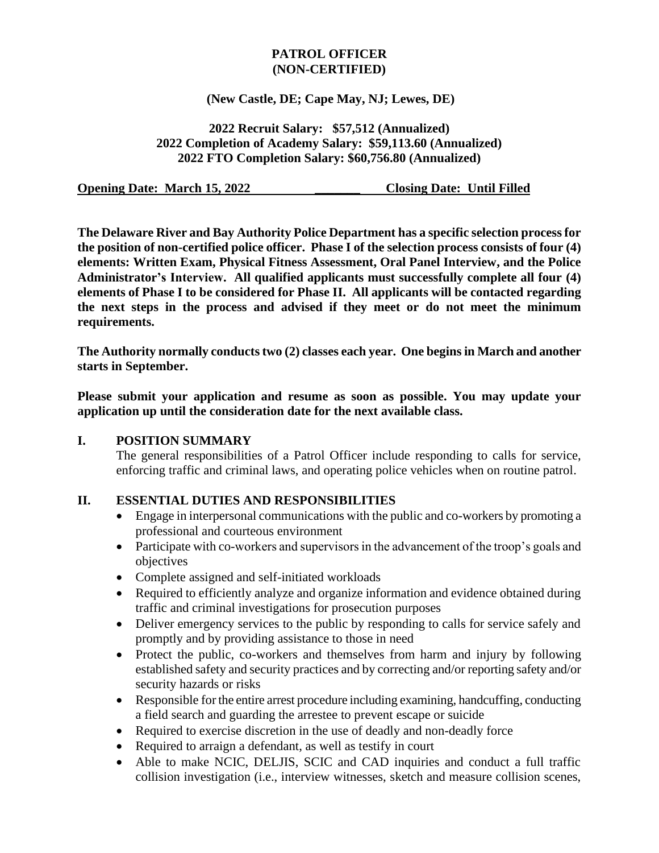#### **PATROL OFFICER (NON-CERTIFIED)**

#### **(New Castle, DE; Cape May, NJ; Lewes, DE)**

**2022 Recruit Salary: \$57,512 (Annualized) 2022 Completion of Academy Salary: \$59,113.60 (Annualized) 2022 FTO Completion Salary: \$60,756.80 (Annualized)**

**Opening Date: March 15, 2022** Closing Date: Until Filled

**The Delaware River and Bay Authority Police Department has a specific selection process for the position of non-certified police officer. Phase I of the selection process consists of four (4) elements: Written Exam, Physical Fitness Assessment, Oral Panel Interview, and the Police Administrator's Interview. All qualified applicants must successfully complete all four (4) elements of Phase I to be considered for Phase II. All applicants will be contacted regarding the next steps in the process and advised if they meet or do not meet the minimum requirements.** 

**The Authority normally conducts two (2) classes each year. One begins in March and another starts in September.** 

**Please submit your application and resume as soon as possible. You may update your application up until the consideration date for the next available class.**

#### **I. POSITION SUMMARY**

The general responsibilities of a Patrol Officer include responding to calls for service, enforcing traffic and criminal laws, and operating police vehicles when on routine patrol.

### **II. ESSENTIAL DUTIES AND RESPONSIBILITIES**

- Engage in interpersonal communications with the public and co-workers by promoting a professional and courteous environment
- Participate with co-workers and supervisors in the advancement of the troop's goals and objectives
- Complete assigned and self-initiated workloads
- Required to efficiently analyze and organize information and evidence obtained during traffic and criminal investigations for prosecution purposes
- Deliver emergency services to the public by responding to calls for service safely and promptly and by providing assistance to those in need
- Protect the public, co-workers and themselves from harm and injury by following established safety and security practices and by correcting and/or reporting safety and/or security hazards or risks
- Responsible for the entire arrest procedure including examining, handcuffing, conducting a field search and guarding the arrestee to prevent escape or suicide
- Required to exercise discretion in the use of deadly and non-deadly force
- Required to arraign a defendant, as well as testify in court
- Able to make NCIC, DELJIS, SCIC and CAD inquiries and conduct a full traffic collision investigation (i.e., interview witnesses, sketch and measure collision scenes,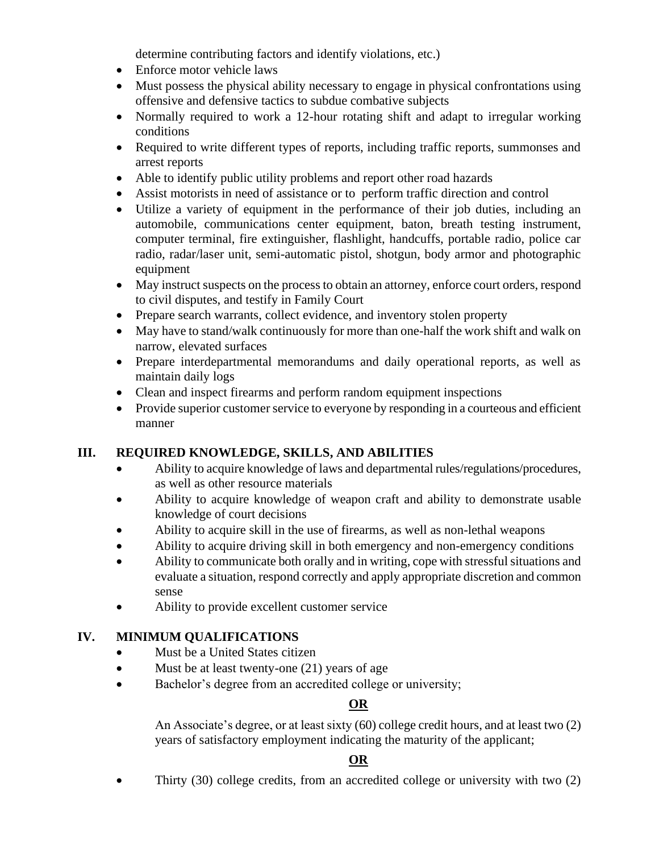determine contributing factors and identify violations, etc.)

- Enforce motor vehicle laws
- Must possess the physical ability necessary to engage in physical confrontations using offensive and defensive tactics to subdue combative subjects
- Normally required to work a 12-hour rotating shift and adapt to irregular working conditions
- Required to write different types of reports, including traffic reports, summonses and arrest reports
- Able to identify public utility problems and report other road hazards
- Assist motorists in need of assistance or to perform traffic direction and control
- Utilize a variety of equipment in the performance of their job duties, including an automobile, communications center equipment, baton, breath testing instrument, computer terminal, fire extinguisher, flashlight, handcuffs, portable radio, police car radio, radar/laser unit, semi-automatic pistol, shotgun, body armor and photographic equipment
- May instruct suspects on the process to obtain an attorney, enforce court orders, respond to civil disputes, and testify in Family Court
- Prepare search warrants, collect evidence, and inventory stolen property
- May have to stand/walk continuously for more than one-half the work shift and walk on narrow, elevated surfaces
- Prepare interdepartmental memorandums and daily operational reports, as well as maintain daily logs
- Clean and inspect firearms and perform random equipment inspections
- Provide superior customer service to everyone by responding in a courteous and efficient manner

# **III. REQUIRED KNOWLEDGE, SKILLS, AND ABILITIES**

- Ability to acquire knowledge of laws and departmental rules/regulations/procedures, as well as other resource materials
- Ability to acquire knowledge of weapon craft and ability to demonstrate usable knowledge of court decisions
- Ability to acquire skill in the use of firearms, as well as non-lethal weapons
- Ability to acquire driving skill in both emergency and non-emergency conditions
- Ability to communicate both orally and in writing, cope with stressful situations and evaluate a situation, respond correctly and apply appropriate discretion and common sense
- Ability to provide excellent customer service

# **IV. MINIMUM QUALIFICATIONS**

- Must be a United States citizen
- Must be at least twenty-one (21) years of age
- Bachelor's degree from an accredited college or university;

# **OR**

An Associate's degree, or at least sixty (60) college credit hours, and at least two (2) years of satisfactory employment indicating the maturity of the applicant;

# **OR**

• Thirty (30) college credits, from an accredited college or university with two (2)